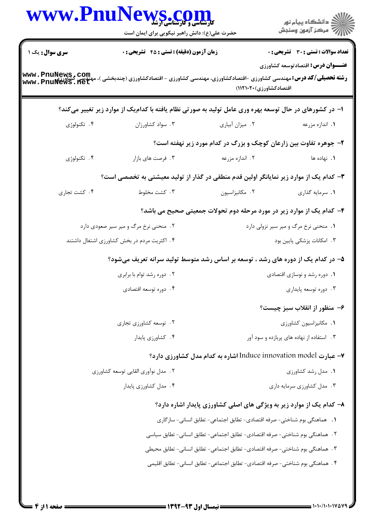| <b>سری سوال :</b> یک ۱<br><b>زمان آزمون (دقیقه) : تستی : 45 گشریحی : 0</b><br><b>رشته تحصیلی/کد درس:</b> مهندسی کشاورزی -اقتصادکشاورزی، مهندسی کشاورزی - اقتصادکشاورزی (چندبخشی )، مهندسی کشاورزی<br>www . PnuNews . flet<br>اقتصادکشاورزی)۲۰۲۰۱:۱۱۲۱۰)<br>ا– در کشورهای در حال توسعه بهره وری عامل تولید به صورتی نظام یافته با کدامیک از موارد زیر تغییر میکند؟<br>۰۴ تکنولوژی<br>۰۳ سواد کشاورزان<br>۰۲ میزان آبیاری<br>۲- جوهره تفاوت بین زارعان کوچک و بزرگ در کدام مورد زیر نهفته است؟<br>۰۴ تکنولوژی<br>۰۳ فرصت های بازار<br>۰۲ اندازه مزرعه<br>۳– کدام یک از موارد زیر نمایانگر اولین قدم منطقی در گذار از تولید معیشتی به تخصصی است؟<br>۰۴ کشت تجاری<br>۰۳ کشت مخلوط<br>٠٢ مكانيزاسيون<br>۴- کدام یک از موارد زیر در مورد مرحله دوم تحولات جمعیتی صحیح می باشد؟<br>۲. منحنی نرخ مرگ و میر سیر صعودی دارد<br>۰۱ منحنی نرخ مرگ و میر سیر نزولی دارد<br>۰۴ اکثریت مردم در بخش کشاورزی اشتغال داشتند<br>۵– در کدام یک از دوره های رشد ، توسعه بر اساس رشد متوسط تولید سرانه تعریف میشود؟<br>۰۲ دوره رشد توام با برابری<br>۰۴ دوره توسعه اقتصادی<br>۰۲ توسعه کشاورزی تجاری<br>۰۴ کشاورزی پایدار<br>۰۳ استفاده از نهاده های پربازده و سود آور<br>۷– عبارت Induce innovation model اشاره به کدام مدل کشاورزی دارد؟<br>٢. مدل نوآوري القايي توسعه كشاورزي<br>۰۴ مدل کشاورزی پایدار<br>۸– کدام یک از موارد زیر به ویژگی های اصلی کشاورزی پایدار اشاره دارد؟<br>1. هماهنگی بوم شناختی- صرفه اقتصادی- تطابق اجتماعی- تطابق انسانی- سازگاری | WWW.PnuNews.com<br>حضرت علی(ع): دانش راهبر نیکویی برای ایمان است |  | ر<br>دانشڪاه پيام نور)<br>ا∛ مرڪز آزمون وسنڊش                                            |
|------------------------------------------------------------------------------------------------------------------------------------------------------------------------------------------------------------------------------------------------------------------------------------------------------------------------------------------------------------------------------------------------------------------------------------------------------------------------------------------------------------------------------------------------------------------------------------------------------------------------------------------------------------------------------------------------------------------------------------------------------------------------------------------------------------------------------------------------------------------------------------------------------------------------------------------------------------------------------------------------------------------------------------------------------------------------------------------------------------------------------------------------------------------------------------------------------------------------------------------------------------------------------------------------------------------------------------------------------------------------------------------------------------------------------------------|------------------------------------------------------------------|--|------------------------------------------------------------------------------------------|
|                                                                                                                                                                                                                                                                                                                                                                                                                                                                                                                                                                                                                                                                                                                                                                                                                                                                                                                                                                                                                                                                                                                                                                                                                                                                                                                                                                                                                                          |                                                                  |  | <b>تعداد سوالات : تستی : 30 ٪ تشریحی : 0</b><br><b>عنـــوان درس:</b> اقتصادتوسعه کشاورزی |
|                                                                                                                                                                                                                                                                                                                                                                                                                                                                                                                                                                                                                                                                                                                                                                                                                                                                                                                                                                                                                                                                                                                                                                                                                                                                                                                                                                                                                                          |                                                                  |  |                                                                                          |
|                                                                                                                                                                                                                                                                                                                                                                                                                                                                                                                                                                                                                                                                                                                                                                                                                                                                                                                                                                                                                                                                                                                                                                                                                                                                                                                                                                                                                                          |                                                                  |  |                                                                                          |
|                                                                                                                                                                                                                                                                                                                                                                                                                                                                                                                                                                                                                                                                                                                                                                                                                                                                                                                                                                                                                                                                                                                                                                                                                                                                                                                                                                                                                                          |                                                                  |  | ۰۱ اندازه مزرعه                                                                          |
|                                                                                                                                                                                                                                                                                                                                                                                                                                                                                                                                                                                                                                                                                                                                                                                                                                                                                                                                                                                                                                                                                                                                                                                                                                                                                                                                                                                                                                          |                                                                  |  |                                                                                          |
|                                                                                                                                                                                                                                                                                                                                                                                                                                                                                                                                                                                                                                                                                                                                                                                                                                                                                                                                                                                                                                                                                                                                                                                                                                                                                                                                                                                                                                          |                                                                  |  | <b>۱.</b> نهاده ها                                                                       |
|                                                                                                                                                                                                                                                                                                                                                                                                                                                                                                                                                                                                                                                                                                                                                                                                                                                                                                                                                                                                                                                                                                                                                                                                                                                                                                                                                                                                                                          |                                                                  |  |                                                                                          |
|                                                                                                                                                                                                                                                                                                                                                                                                                                                                                                                                                                                                                                                                                                                                                                                                                                                                                                                                                                                                                                                                                                                                                                                                                                                                                                                                                                                                                                          |                                                                  |  | ۰۱ سرمایه گذاری                                                                          |
|                                                                                                                                                                                                                                                                                                                                                                                                                                                                                                                                                                                                                                                                                                                                                                                                                                                                                                                                                                                                                                                                                                                                                                                                                                                                                                                                                                                                                                          |                                                                  |  |                                                                                          |
|                                                                                                                                                                                                                                                                                                                                                                                                                                                                                                                                                                                                                                                                                                                                                                                                                                                                                                                                                                                                                                                                                                                                                                                                                                                                                                                                                                                                                                          |                                                                  |  |                                                                                          |
|                                                                                                                                                                                                                                                                                                                                                                                                                                                                                                                                                                                                                                                                                                                                                                                                                                                                                                                                                                                                                                                                                                                                                                                                                                                                                                                                                                                                                                          |                                                                  |  | ۰۳ امکانات پزشکی پایین بود                                                               |
|                                                                                                                                                                                                                                                                                                                                                                                                                                                                                                                                                                                                                                                                                                                                                                                                                                                                                                                                                                                                                                                                                                                                                                                                                                                                                                                                                                                                                                          |                                                                  |  |                                                                                          |
|                                                                                                                                                                                                                                                                                                                                                                                                                                                                                                                                                                                                                                                                                                                                                                                                                                                                                                                                                                                                                                                                                                                                                                                                                                                                                                                                                                                                                                          |                                                                  |  | ٠١ دوره رشد و نوسازي اقتصادي                                                             |
|                                                                                                                                                                                                                                                                                                                                                                                                                                                                                                                                                                                                                                                                                                                                                                                                                                                                                                                                                                                                                                                                                                                                                                                                                                                                                                                                                                                                                                          |                                                                  |  | ۰۳ دوره توسعه پایداری                                                                    |
|                                                                                                                                                                                                                                                                                                                                                                                                                                                                                                                                                                                                                                                                                                                                                                                                                                                                                                                                                                                                                                                                                                                                                                                                                                                                                                                                                                                                                                          |                                                                  |  | ۶– منظور از انقلاب سبز چیست؟                                                             |
|                                                                                                                                                                                                                                                                                                                                                                                                                                                                                                                                                                                                                                                                                                                                                                                                                                                                                                                                                                                                                                                                                                                                                                                                                                                                                                                                                                                                                                          |                                                                  |  | ٠١. مكانيزاسيون كشاورزى                                                                  |
|                                                                                                                                                                                                                                                                                                                                                                                                                                                                                                                                                                                                                                                                                                                                                                                                                                                                                                                                                                                                                                                                                                                                                                                                                                                                                                                                                                                                                                          |                                                                  |  |                                                                                          |
|                                                                                                                                                                                                                                                                                                                                                                                                                                                                                                                                                                                                                                                                                                                                                                                                                                                                                                                                                                                                                                                                                                                                                                                                                                                                                                                                                                                                                                          |                                                                  |  |                                                                                          |
|                                                                                                                                                                                                                                                                                                                                                                                                                                                                                                                                                                                                                                                                                                                                                                                                                                                                                                                                                                                                                                                                                                                                                                                                                                                                                                                                                                                                                                          |                                                                  |  | ٠١. مدل رشد كشاورزى                                                                      |
|                                                                                                                                                                                                                                                                                                                                                                                                                                                                                                                                                                                                                                                                                                                                                                                                                                                                                                                                                                                                                                                                                                                                                                                                                                                                                                                                                                                                                                          |                                                                  |  | ۰۳ مدل کشاورزی سرمایه داری                                                               |
|                                                                                                                                                                                                                                                                                                                                                                                                                                                                                                                                                                                                                                                                                                                                                                                                                                                                                                                                                                                                                                                                                                                                                                                                                                                                                                                                                                                                                                          |                                                                  |  |                                                                                          |
|                                                                                                                                                                                                                                                                                                                                                                                                                                                                                                                                                                                                                                                                                                                                                                                                                                                                                                                                                                                                                                                                                                                                                                                                                                                                                                                                                                                                                                          |                                                                  |  |                                                                                          |
| ٢ . هماهنگي بوم شناختي- صرفه اقتصادي- تطابق اجتماعي- تطابق انساني- تطابق سياسي                                                                                                                                                                                                                                                                                                                                                                                                                                                                                                                                                                                                                                                                                                                                                                                                                                                                                                                                                                                                                                                                                                                                                                                                                                                                                                                                                           |                                                                  |  |                                                                                          |
| ٣.  هماهنگي بوم شناختي- صرفه اقتصادي- تطابق اجتماعي- تطابق انساني- تطابق محيطي<br>۴. هماهنگی بوم شناختی- صرفه اقتصادی- تطابق اجتماعی- تطابق انسانی- تطابق اقلیمی                                                                                                                                                                                                                                                                                                                                                                                                                                                                                                                                                                                                                                                                                                                                                                                                                                                                                                                                                                                                                                                                                                                                                                                                                                                                         |                                                                  |  |                                                                                          |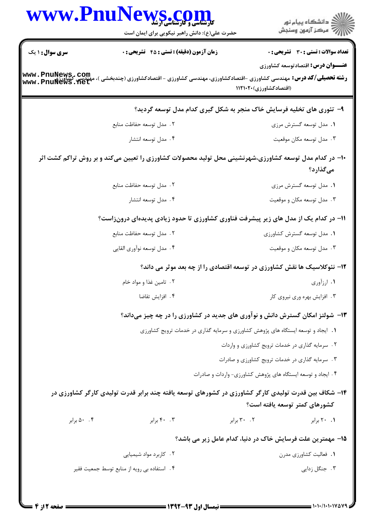| WWW.Fnur                                                                 | <b>الیل الیال کی دی</b><br>کارشناسی و کارشناسی ارشا<br>حضرت علی(ع): دانش راهبر نیکویی برای ایمان است   |                                                                                  | ≦ دانشڪاه پيام نور<br>7- مرڪز آزمون وسنڊش       |
|--------------------------------------------------------------------------|--------------------------------------------------------------------------------------------------------|----------------------------------------------------------------------------------|-------------------------------------------------|
| <b>سری سوال : ۱ یک</b>                                                   | <b>زمان آزمون (دقیقه) : تستی : 45 تشریحی : 0</b>                                                       |                                                                                  | <b>تعداد سوالات : تستی : 30 ٪ تشریحی : 0</b>    |
| www.PnuNews.com<br>www.PnuNews.net                                       | <b>رشته تحصیلی/گد درس:</b> مهندسی کشاورزی -اقتصادکشاورزی، مهندسی کشاورزی - اقتصادکشاورزی (چندبخشی )،   | (اقتصادکشاورزی)۲۰۲۰۱۲۱۰                                                          | <b>عنـــوان درس:</b> اقتصادتوسعه کشاورزی        |
|                                                                          |                                                                                                        | ۹- تئوری های تخلیه فرسایش خاک منجر به شکل گیری کدام مدل توسعه گردید؟             |                                                 |
|                                                                          | ٢. مدل توسعه حفاظت منابع                                                                               |                                                                                  | ۰۱ مدل توسعه گسترش مرزی                         |
|                                                                          | ۰۴ مدل توسعه انتشار                                                                                    |                                                                                  | ۰۳ مدل توسعه مکان موقعیت                        |
|                                                                          | ۱۰– در کدام مدل توسعه کشاورزی،شهرنشینی محل تولید محصولات کشاورزی را تعیین میکند و بر روش تراکم کشت اثر |                                                                                  | میگذارد؟                                        |
|                                                                          | ٢. مدل توسعه حفاظت منابع                                                                               |                                                                                  | ۰۱ مدل توسعه گسترش مرزی                         |
|                                                                          | ۰۴ مدل توسعه انتشار                                                                                    |                                                                                  | ۰۳ مدل توسعه مکان و موقعیت                      |
|                                                                          | 1۱– در کدام یک از مدل های زیر پیشرفت فناوری کشاورزی تا حدود زیادی پدیدهای درونزاست؟                    |                                                                                  |                                                 |
|                                                                          | ٢. مدل توسعه حفاظت منابع                                                                               |                                                                                  | ۰۱ مدل توسعه گسترش کشاورزی                      |
|                                                                          | ۰۴ مدل توسعه نوأوري القايي                                                                             |                                                                                  | ۰۳ مدل توسعه مکان و موقعیت                      |
| ۱۲- نئوکلاسیک ها نقش کشاورزی در توسعه اقتصادی را از چه بعد موثر می داند؟ |                                                                                                        |                                                                                  |                                                 |
|                                                                          | ۲ . تامین غذا و مواد خام                                                                               |                                                                                  | ۰۱ ارزآوری                                      |
|                                                                          | ۰۴ افزايش تقاضا                                                                                        |                                                                                  | ۰۳ افزایش بهره وری نیروی کار                    |
|                                                                          | ۱۳- شولتز امکان گسترش دانش و نوآوری های جدید در کشاورزی را در چه چیز میداند؟                           |                                                                                  |                                                 |
|                                                                          |                                                                                                        | ١. ايجاد و توسعه ايستگاه هاى پژوهش كشاورزى و سرمايه گذارى در خدمات ترويج كشاورزى |                                                 |
|                                                                          |                                                                                                        |                                                                                  | ۰۲ سرمایه گذاری در خدمات ترویج کشاورزی و واردات |
|                                                                          |                                                                                                        | ۰۳ سرمایه گذاری در خدمات ترویج کشاورزی و صادرات                                  |                                                 |
|                                                                          |                                                                                                        | ۰۴ ایجاد و توسعه ایستگاه های پژوهش کشاورزی- واردات و صادرات                      |                                                 |
|                                                                          | ۱۴– شکاف بین قدرت تولیدی کارگر کشاورزی در کشورهای توسعه یافته چند برابر قدرت تولیدی کارگر کشاورزی در   |                                                                                  | كشورهاي كمتر توسعه يافته است؟                   |
| ۰.۴ وبرابر                                                               | ۰۴ برابر                                                                                               | ۲۰ . ۳۰ برابر                                                                    | ۰۱ ۲۰ برابر                                     |
|                                                                          |                                                                                                        | ۱۵– مهمترین علت فرسایش خاک در دنیا، کدام عامل زیر می باشد؟                       |                                                 |
|                                                                          | ۰۲ کاربرد مواد شیمیایی                                                                                 |                                                                                  | ۰۱ فعالیت کشاورزی مدرن                          |
|                                                                          | ۰۴ استفاده بی رویه از منابع توسط جمعیت فقیر                                                            |                                                                                  | ۰۳ جنگل زدایی                                   |
|                                                                          |                                                                                                        |                                                                                  |                                                 |

 $\blacksquare$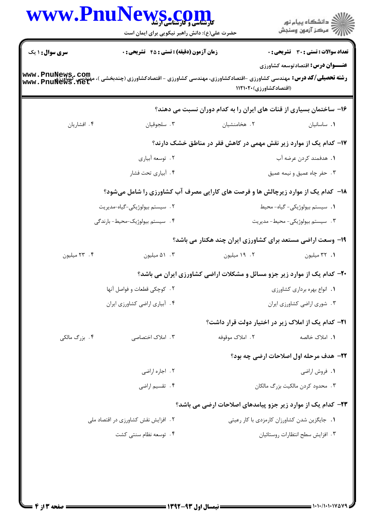|                        | WWW.PnuNews.com<br>حضرت علی(ع): دانش راهبر نیکویی برای ایمان است                                                                                                                               |                                                                                 | ِ<br>∭ دانشڪاه پيام نور<br>∭ مرڪز آزمون وسنڊش                                     |
|------------------------|------------------------------------------------------------------------------------------------------------------------------------------------------------------------------------------------|---------------------------------------------------------------------------------|-----------------------------------------------------------------------------------|
| <b>سری سوال : ۱ یک</b> | <b>زمان آزمون (دقیقه) : تستی : 45 تشریحی : 0</b><br><b>رشته تحصیلی/کد درس:</b> مهندسی کشاورزی -اقتصادکشاورزی، مهندسی کشاورزی - اقتصادکشاورزی (چندبخشی )، مهندسی کشاورزی<br>WWW . PnuNews . net | (اقتصادکشاورزی)۲۰۲۰۱۲۱                                                          | تعداد سوالات : تستي : 30 - تشريحي : 0<br><b>عنـــوان درس:</b> اقتصادتوسعه کشاورزی |
|                        |                                                                                                                                                                                                | ۱۶- ساختمان بسیاری از قنات های ایران را به کدام دوران نسبت می دهند؟             |                                                                                   |
| ۰۴ افشاريان            | ۰۳ سلجوقيان                                                                                                                                                                                    | ۰۲ هخامنشیان                                                                    | ٠١. ساسانيان                                                                      |
|                        |                                                                                                                                                                                                | ۱۷– کدام یک از موارد زیر نقش مهمی در کاهش فقر در مناطق خشک دارند؟               |                                                                                   |
|                        | ۰۲ توسعه أبياري                                                                                                                                                                                |                                                                                 | <b>۱.</b> هدفمند کردن عرضه آب                                                     |
|                        | ۰۴ آبیاری تحت فشار                                                                                                                                                                             |                                                                                 | ۰۳ حفر چاه عمیق و نیمه عمیق                                                       |
|                        | ۱۸- کدام یک از موارد زیرچالش ها و فرصت های کارایی مصرف آب کشاورزی را شامل میشود؟                                                                                                               |                                                                                 |                                                                                   |
|                        | ٢. سيستم بيولوژيكى-گياه-مديريت                                                                                                                                                                 |                                                                                 | 1. سيستم بيولوژيكى- گياه- محيط                                                    |
|                        | ۴. سیستم بیولوژیک-محیط- بارندگی                                                                                                                                                                |                                                                                 | ۰۳ سیستم بیولوژیکی- محیط- مدیریت                                                  |
|                        |                                                                                                                                                                                                | ۱۹- وسعت اراضی مستعد برای کشاورزی ایران چند هکتار می باشد؟                      |                                                                                   |
| ۰۴ میلیون              | ۰۳ هيليون                                                                                                                                                                                      | ۰۲ میلیون                                                                       | ٠١. ٣٢ ميليون                                                                     |
|                        |                                                                                                                                                                                                | <b>-۲-</b> کدام یک از موارد زیر جزو مسائل و مشکلات اراضی کشاورزی ایران می باشد؟ |                                                                                   |
|                        | ٢. كوچكى قطعات و فواصل آنها                                                                                                                                                                    | ٠١. انواع بهره برداري كشاورزي                                                   |                                                                                   |
|                        | ۰۴ آبیاری اراضی کشاورزی ایران                                                                                                                                                                  |                                                                                 | ۰۳ شوری اراضی کشاورزی ایران                                                       |
|                        |                                                                                                                                                                                                | <b>۲۱</b> – کدام یک از املاک زیر در اختیار دولت قرار داشت؟                      |                                                                                   |
| ۰۴ بزرگ مالکی          | ۰۳ املاک اختصاصی                                                                                                                                                                               | ۲. املاک موقوفه                                                                 | ۰۱. املاک خالصه                                                                   |
|                        |                                                                                                                                                                                                |                                                                                 | <b>3۲- هدف مرحله اول اصلاحات ارضی چه بود؟</b>                                     |
|                        | ۰۲ اجاره اراضی                                                                                                                                                                                 |                                                                                 | ٠١. فروش اراضي                                                                    |
|                        | ۰۴ تقسیم اراضی                                                                                                                                                                                 |                                                                                 | ۰۳ محدود کردن مالکیت بزرگ مالکان                                                  |
|                        |                                                                                                                                                                                                | <b>۲۳</b> – کدام یک از موارد زیر جزو پیامدهای اصلاحات ارضی می باشد؟             |                                                                                   |
|                        | ۲. افزایش نقش کشاورزی در اقتصاد ملی                                                                                                                                                            |                                                                                 | ۰۱ جایگزین شدن کشاورزان کارمزدی با کار رعیتی                                      |
|                        | ۰۴ توسعه نظام سنتی کشت                                                                                                                                                                         |                                                                                 | ٠٣ افزايش سطح انتظارات روستائيان                                                  |